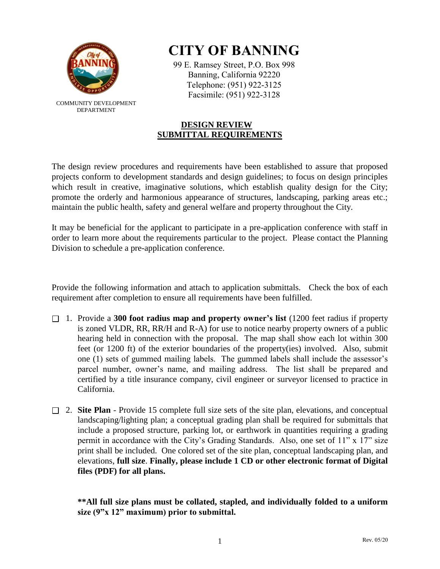

COMMUNITY DEVELOPMENT DEPARTMENT

## **CITY OF BANNING**

99 E. Ramsey Street, P.O. Box 998 Banning, California 92220 Telephone: (951) 922-3125 Facsimile: (951) 922-3128

## **DESIGN REVIEW SUBMITTAL REQUIREMENTS**

The design review procedures and requirements have been established to assure that proposed projects conform to development standards and design guidelines; to focus on design principles which result in creative, imaginative solutions, which establish quality design for the City; promote the orderly and harmonious appearance of structures, landscaping, parking areas etc.; maintain the public health, safety and general welfare and property throughout the City.

It may be beneficial for the applicant to participate in a pre-application conference with staff in order to learn more about the requirements particular to the project. Please contact the Planning Division to schedule a pre-application conference.

Provide the following information and attach to application submittals. Check the box of each requirement after completion to ensure all requirements have been fulfilled.

- 1. Provide a **300 foot radius map and property owner's list** (1200 feet radius if property is zoned VLDR, RR, RR/H and R-A) for use to notice nearby property owners of a public hearing held in connection with the proposal. The map shall show each lot within 300 feet (or 1200 ft) of the exterior boundaries of the property(ies) involved. Also, submit one (1) sets of gummed mailing labels. The gummed labels shall include the assessor's parcel number, owner's name, and mailing address. The list shall be prepared and certified by a title insurance company, civil engineer or surveyor licensed to practice in California.
- 2. **Site Plan**  Provide 15 complete full size sets of the site plan, elevations, and conceptual landscaping/lighting plan; a conceptual grading plan shall be required for submittals that include a proposed structure, parking lot, or earthwork in quantities requiring a grading permit in accordance with the City's Grading Standards. Also, one set of 11" x 17" size print shall be included. One colored set of the site plan, conceptual landscaping plan, and elevations, **full size**. **Finally, please include 1 CD or other electronic format of Digital files (PDF) for all plans.**

**\*\*All full size plans must be collated, stapled, and individually folded to a uniform size (9"x 12" maximum) prior to submittal.**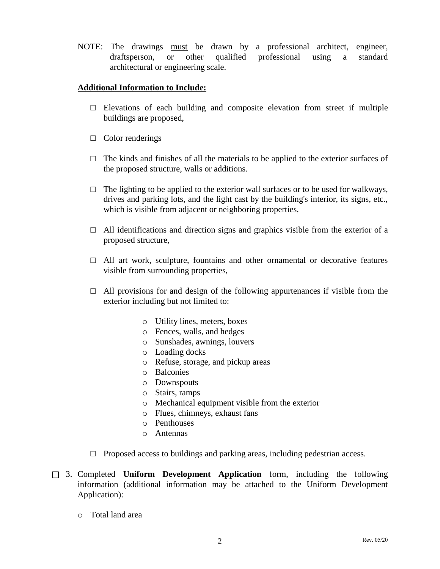NOTE: The drawings must be drawn by a professional architect, engineer, draftsperson, or other qualified professional using a standard architectural or engineering scale.

## **Additional Information to Include:**

- $\square$  Elevations of each building and composite elevation from street if multiple buildings are proposed,
- □ Color renderings
- $\Box$  The kinds and finishes of all the materials to be applied to the exterior surfaces of the proposed structure, walls or additions.
- $\Box$  The lighting to be applied to the exterior wall surfaces or to be used for walkways, drives and parking lots, and the light cast by the building's interior, its signs, etc., which is visible from adjacent or neighboring properties,
- $\Box$  All identifications and direction signs and graphics visible from the exterior of a proposed structure,
- $\Box$  All art work, sculpture, fountains and other ornamental or decorative features visible from surrounding properties,
- $\Box$  All provisions for and design of the following appurtenances if visible from the exterior including but not limited to:
	- o Utility lines, meters, boxes
	- o Fences, walls, and hedges
	- o Sunshades, awnings, louvers
	- o Loading docks
	- o Refuse, storage, and pickup areas
	- o Balconies
	- o Downspouts
	- o Stairs, ramps
	- o Mechanical equipment visible from the exterior
	- o Flues, chimneys, exhaust fans
	- o Penthouses
	- o Antennas
- $\Box$  Proposed access to buildings and parking areas, including pedestrian access.
- 3. Completed **Uniform Development Application** form, including the following information (additional information may be attached to the Uniform Development Application):
	- o Total land area